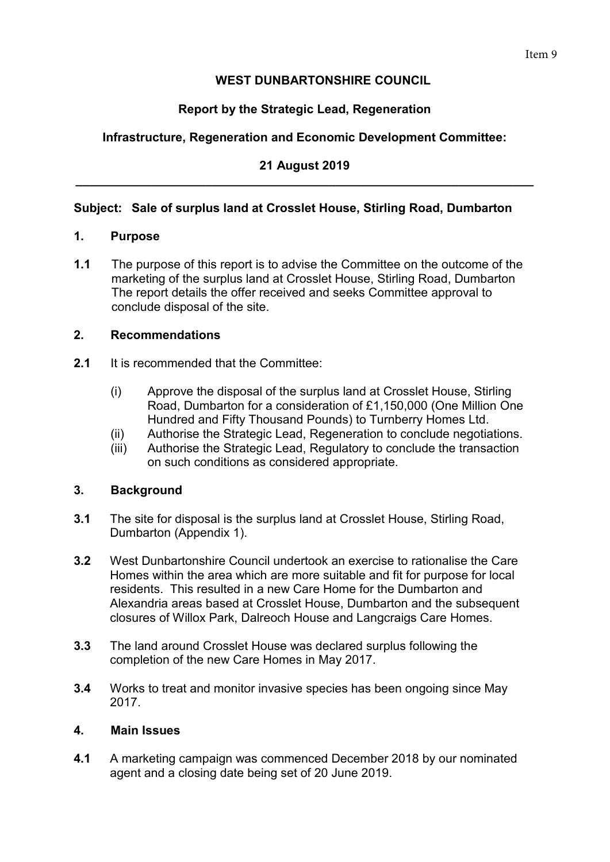# **WEST DUNBARTONSHIRE COUNCIL**

# **Report by the Strategic Lead, Regeneration**

# **Infrastructure, Regeneration and Economic Development Committee:**

#### **21 August 2019 \_\_\_\_\_\_\_\_\_\_\_\_\_\_\_\_\_\_\_\_\_\_\_\_\_\_\_\_\_\_\_\_\_\_\_\_\_\_\_\_\_\_\_\_\_\_\_\_\_\_\_\_\_\_\_\_\_\_\_\_\_\_\_\_\_\_\_**

## **Subject: Sale of surplus land at Crosslet House, Stirling Road, Dumbarton**

#### **1. Purpose**

**1.1** The purpose of this report is to advise the Committee on the outcome of the marketing of the surplus land at Crosslet House, Stirling Road, Dumbarton The report details the offer received and seeks Committee approval to conclude disposal of the site.

#### **2. Recommendations**

- **2.1** It is recommended that the Committee:
	- (i) Approve the disposal of the surplus land at Crosslet House, Stirling Road, Dumbarton for a consideration of £1,150,000 (One Million One Hundred and Fifty Thousand Pounds) to Turnberry Homes Ltd.
	- (ii) Authorise the Strategic Lead, Regeneration to conclude negotiations.
	- (iii) Authorise the Strategic Lead, Regulatory to conclude the transaction on such conditions as considered appropriate.

#### **3. Background**

- **3.1** The site for disposal is the surplus land at Crosslet House, Stirling Road, Dumbarton (Appendix 1).
- **3.2** West Dunbartonshire Council undertook an exercise to rationalise the Care Homes within the area which are more suitable and fit for purpose for local residents. This resulted in a new Care Home for the Dumbarton and Alexandria areas based at Crosslet House, Dumbarton and the subsequent closures of Willox Park, Dalreoch House and Langcraigs Care Homes.
- **3.3** The land around Crosslet House was declared surplus following the completion of the new Care Homes in May 2017.
- **3.4** Works to treat and monitor invasive species has been ongoing since May 2017.

#### **4. Main Issues**

**4.1** A marketing campaign was commenced December 2018 by our nominated agent and a closing date being set of 20 June 2019.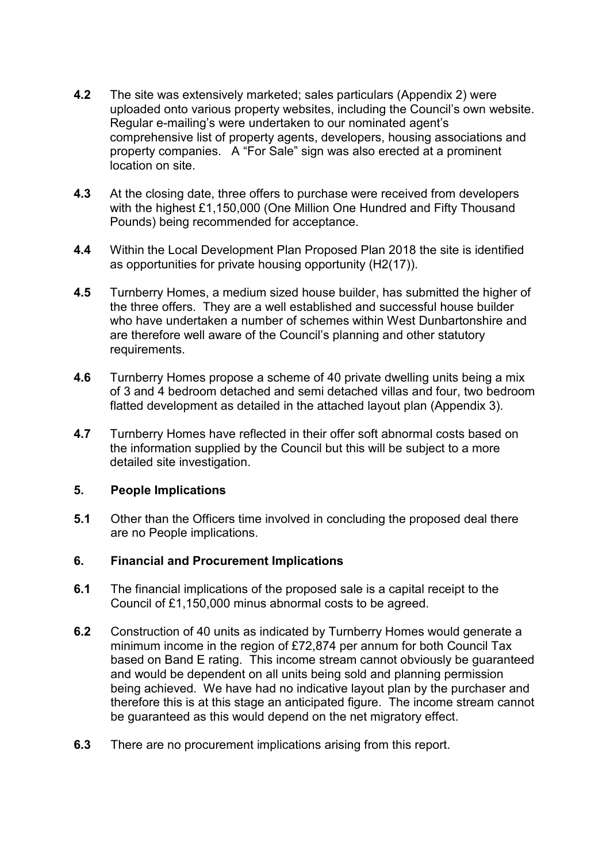- **4.2** The site was extensively marketed; sales particulars (Appendix 2) were uploaded onto various property websites, including the Council's own website. Regular e-mailing's were undertaken to our nominated agent's comprehensive list of property agents, developers, housing associations and property companies. A "For Sale" sign was also erected at a prominent location on site.
- **4.3** At the closing date, three offers to purchase were received from developers with the highest £1,150,000 (One Million One Hundred and Fifty Thousand Pounds) being recommended for acceptance.
- **4.4** Within the Local Development Plan Proposed Plan 2018 the site is identified as opportunities for private housing opportunity (H2(17)).
- **4.5** Turnberry Homes, a medium sized house builder, has submitted the higher of the three offers. They are a well established and successful house builder who have undertaken a number of schemes within West Dunbartonshire and are therefore well aware of the Council's planning and other statutory requirements.
- **4.6** Turnberry Homes propose a scheme of 40 private dwelling units being a mix of 3 and 4 bedroom detached and semi detached villas and four, two bedroom flatted development as detailed in the attached layout plan (Appendix 3).
- **4.7** Turnberry Homes have reflected in their offer soft abnormal costs based on the information supplied by the Council but this will be subject to a more detailed site investigation.

#### **5. People Implications**

**5.1** Other than the Officers time involved in concluding the proposed deal there are no People implications.

#### **6. Financial and Procurement Implications**

- **6.1** The financial implications of the proposed sale is a capital receipt to the Council of £1,150,000 minus abnormal costs to be agreed.
- **6.2** Construction of 40 units as indicated by Turnberry Homes would generate a minimum income in the region of £72,874 per annum for both Council Tax based on Band E rating. This income stream cannot obviously be guaranteed and would be dependent on all units being sold and planning permission being achieved. We have had no indicative layout plan by the purchaser and therefore this is at this stage an anticipated figure. The income stream cannot be guaranteed as this would depend on the net migratory effect.
- **6.3** There are no procurement implications arising from this report.